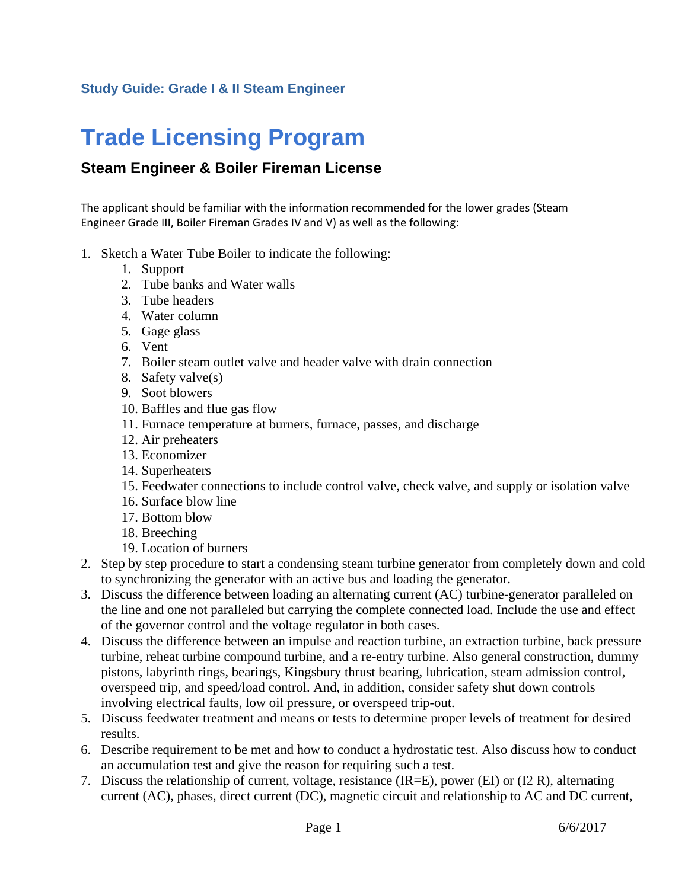## **Study Guide: Grade I & II Steam Engineer**

## **Trade Licensing Program**

## **Steam Engineer & Boiler Fireman License**

The applicant should be familiar with the information recommended for the lower grades (Steam Engineer Grade III, Boiler Fireman Grades IV and V) as well as the following:

- 1. Sketch a Water Tube Boiler to indicate the following:
	- 1. Support
	- 2. Tube banks and Water walls
	- 3. Tube headers
	- 4. Water column
	- 5. Gage glass
	- 6. Vent
	- 7. Boiler steam outlet valve and header valve with drain connection
	- 8. Safety valve(s)
	- 9. Soot blowers
	- 10. Baffles and flue gas flow
	- 11. Furnace temperature at burners, furnace, passes, and discharge
	- 12. Air preheaters
	- 13. Economizer
	- 14. Superheaters
	- 15. Feedwater connections to include control valve, check valve, and supply or isolation valve
	- 16. Surface blow line
	- 17. Bottom blow
	- 18. Breeching
	- 19. Location of burners
- 2. Step by step procedure to start a condensing steam turbine generator from completely down and cold to synchronizing the generator with an active bus and loading the generator.
- 3. Discuss the difference between loading an alternating current (AC) turbine-generator paralleled on the line and one not paralleled but carrying the complete connected load. Include the use and effect of the governor control and the voltage regulator in both cases.
- 4. Discuss the difference between an impulse and reaction turbine, an extraction turbine, back pressure turbine, reheat turbine compound turbine, and a re-entry turbine. Also general construction, dummy pistons, labyrinth rings, bearings, Kingsbury thrust bearing, lubrication, steam admission control, overspeed trip, and speed/load control. And, in addition, consider safety shut down controls involving electrical faults, low oil pressure, or overspeed trip-out.
- 5. Discuss feedwater treatment and means or tests to determine proper levels of treatment for desired results.
- 6. Describe requirement to be met and how to conduct a hydrostatic test. Also discuss how to conduct an accumulation test and give the reason for requiring such a test.
- 7. Discuss the relationship of current, voltage, resistance (IR=E), power (EI) or (I2 R), alternating current (AC), phases, direct current (DC), magnetic circuit and relationship to AC and DC current,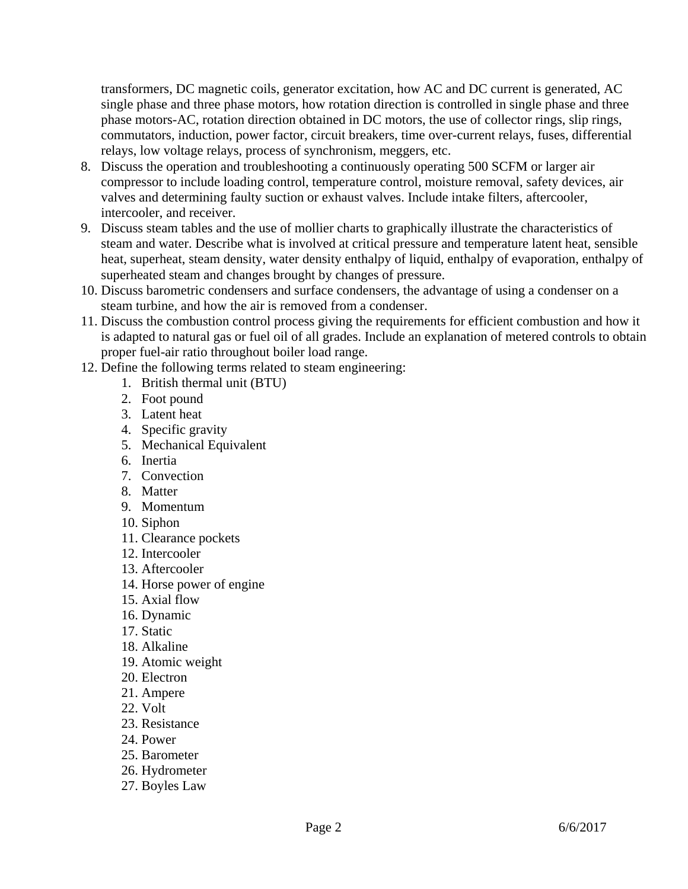transformers, DC magnetic coils, generator excitation, how AC and DC current is generated, AC single phase and three phase motors, how rotation direction is controlled in single phase and three phase motors-AC, rotation direction obtained in DC motors, the use of collector rings, slip rings, commutators, induction, power factor, circuit breakers, time over-current relays, fuses, differential relays, low voltage relays, process of synchronism, meggers, etc.

- 8. Discuss the operation and troubleshooting a continuously operating 500 SCFM or larger air compressor to include loading control, temperature control, moisture removal, safety devices, air valves and determining faulty suction or exhaust valves. Include intake filters, aftercooler, intercooler, and receiver.
- 9. Discuss steam tables and the use of mollier charts to graphically illustrate the characteristics of steam and water. Describe what is involved at critical pressure and temperature latent heat, sensible heat, superheat, steam density, water density enthalpy of liquid, enthalpy of evaporation, enthalpy of superheated steam and changes brought by changes of pressure.
- 10. Discuss barometric condensers and surface condensers, the advantage of using a condenser on a steam turbine, and how the air is removed from a condenser.
- 11. Discuss the combustion control process giving the requirements for efficient combustion and how it is adapted to natural gas or fuel oil of all grades. Include an explanation of metered controls to obtain proper fuel-air ratio throughout boiler load range.
- 12. Define the following terms related to steam engineering:
	- 1. British thermal unit (BTU)
	- 2. Foot pound
	- 3. Latent heat
	- 4. Specific gravity
	- 5. Mechanical Equivalent
	- 6. Inertia
	- 7. Convection
	- 8. Matter
	- 9. Momentum
	- 10. Siphon
	- 11. Clearance pockets
	- 12. Intercooler
	- 13. Aftercooler
	- 14. Horse power of engine
	- 15. Axial flow
	- 16. Dynamic
	- 17. Static
	- 18. Alkaline
	- 19. Atomic weight
	- 20. Electron
	- 21. Ampere
	- 22. Volt
	- 23. Resistance
	- 24. Power
	- 25. Barometer
	- 26. Hydrometer
	- 27. Boyles Law